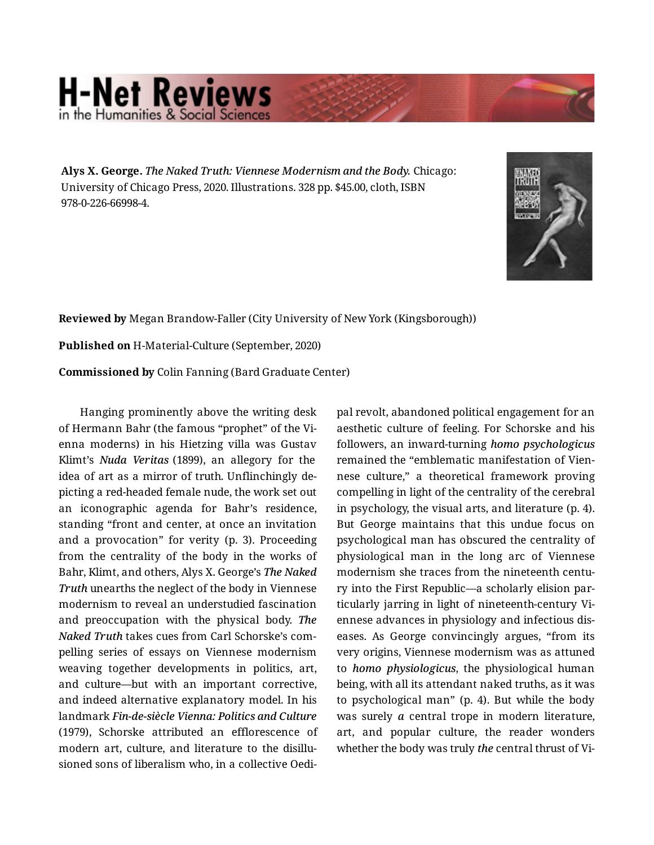## **H-Net Reviews** in the Humanities & Social Scienc

**Alys X. George.** *The Naked Truth: Viennese Modernism and the Body.* Chicago: University of Chicago Press, 2020. Illustrations. 328 pp. \$45.00, cloth, ISBN 978-0-226-66998-4.



**Reviewed by** Megan Brandow-Faller (City University of New York (Kingsborough))

**Published on** H-Material-Culture (September, 2020)

**Commissioned by** Colin Fanning (Bard Graduate Center)

Hanging prominently above the writing desk of Hermann Bahr (the famous "prophet" of the Vi‐ enna moderns) in his Hietzing villa was Gustav Klimt's *Nuda Veritas* (1899), an allegory for the idea of art as a mirror of truth. Unflinchingly de‐ picting a red-headed female nude, the work set out an iconographic agenda for Bahr's residence, standing "front and center, at once an invitation and a provocation" for verity (p. 3). Proceeding from the centrality of the body in the works of Bahr, Klimt, and others, Alys X. George's *The Naked Truth* unearths the neglect of the body in Viennese modernism to reveal an understudied fascination and preoccupation with the physical body. *The Naked Truth* takes cues from Carl Schorske's com‐ pelling series of essays on Viennese modernism weaving together developments in politics, art, and culture—but with an important corrective, and indeed alternative explanatory model. In his landmark *Fin-de-siècle Vienna: Politics and Culture* (1979), Schorske attributed an efflorescence of modern art, culture, and literature to the disillu‐ sioned sons of liberalism who, in a collective Oedi‐

pal revolt, abandoned political engagement for an aesthetic culture of feeling. For Schorske and his followers, an inward-turning *homo psychologicus* remained the "emblematic manifestation of Vien‐ nese culture," a theoretical framework proving compelling in light of the centrality of the cerebral in psychology, the visual arts, and literature (p. 4). But George maintains that this undue focus on psychological man has obscured the centrality of physiological man in the long arc of Viennese modernism she traces from the nineteenth century into the First Republic—a scholarly elision par‐ ticularly jarring in light of nineteenth-century Vi‐ ennese advances in physiology and infectious dis‐ eases. As George convincingly argues, "from its very origins, Viennese modernism was as attuned to *homo physiologicus*, the physiological human being, with all its attendant naked truths, as it was to psychological man" (p. 4). But while the body was surely *a* central trope in modern literature, art, and popular culture, the reader wonders whether the body was truly *the* central thrust of Vi‐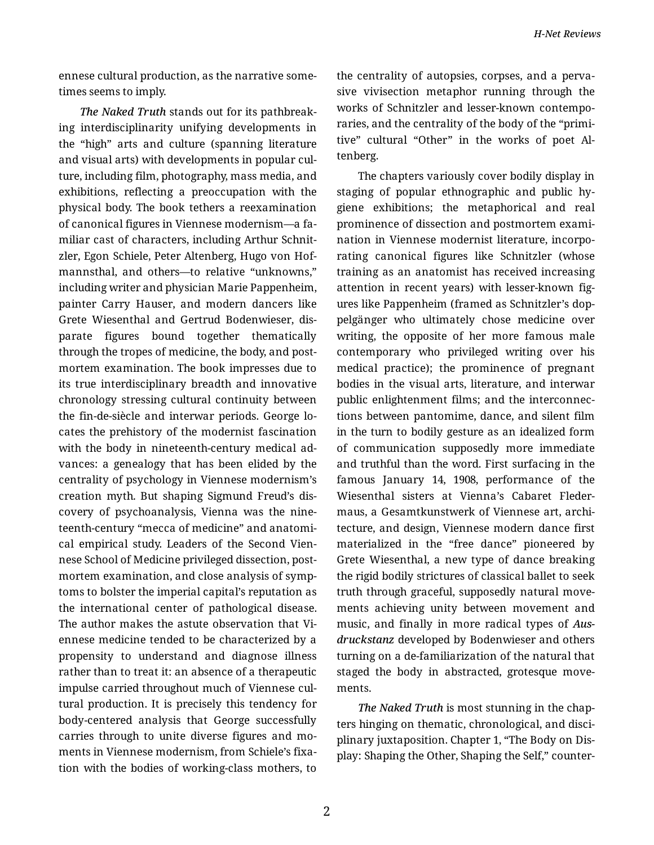ennese cultural production, as the narrative some‐ times seems to imply.

*The Naked Truth* stands out for its pathbreak‐ ing interdisciplinarity unifying developments in the "high" arts and culture (spanning literature and visual arts) with developments in popular cul‐ ture, including film, photography, mass media, and exhibitions, reflecting a preoccupation with the physical body. The book tethers a reexamination of canonical figures in Viennese modernism—a fa‐ miliar cast of characters, including Arthur Schnit‐ zler, Egon Schiele, Peter Altenberg, Hugo von Hof‐ mannsthal, and others—to relative "unknowns," including writer and physician Marie Pappenheim, painter Carry Hauser, and modern dancers like Grete Wiesenthal and Gertrud Bodenwieser, dis‐ parate figures bound together thematically through the tropes of medicine, the body, and post‐ mortem examination. The book impresses due to its true interdisciplinary breadth and innovative chronology stressing cultural continuity between the fin-de-siècle and interwar periods. George lo‐ cates the prehistory of the modernist fascination with the body in nineteenth-century medical advances: a genealogy that has been elided by the centrality of psychology in Viennese modernism's creation myth. But shaping Sigmund Freud's dis‐ covery of psychoanalysis, Vienna was the nine‐ teenth-century "mecca of medicine" and anatomi‐ cal empirical study. Leaders of the Second Vien‐ nese School of Medicine privileged dissection, post‐ mortem examination, and close analysis of symp‐ toms to bolster the imperial capital's reputation as the international center of pathological disease. The author makes the astute observation that Vi‐ ennese medicine tended to be characterized by a propensity to understand and diagnose illness rather than to treat it: an absence of a therapeutic impulse carried throughout much of Viennese cul‐ tural production. It is precisely this tendency for body-centered analysis that George successfully carries through to unite diverse figures and mo‐ ments in Viennese modernism, from Schiele's fixa‐ tion with the bodies of working-class mothers, to the centrality of autopsies, corpses, and a perva‐ sive vivisection metaphor running through the works of Schnitzler and lesser-known contempo‐ raries, and the centrality of the body of the "primi‐ tive" cultural "Other" in the works of poet Al‐ tenberg.

The chapters variously cover bodily display in staging of popular ethnographic and public hy‐ giene exhibitions; the metaphorical and real prominence of dissection and postmortem exami‐ nation in Viennese modernist literature, incorpo‐ rating canonical figures like Schnitzler (whose training as an anatomist has received increasing attention in recent years) with lesser-known fig‐ ures like Pappenheim (framed as Schnitzler's dop‐ pelgänger who ultimately chose medicine over writing, the opposite of her more famous male contemporary who privileged writing over his medical practice); the prominence of pregnant bodies in the visual arts, literature, and interwar public enlightenment films; and the interconnec‐ tions between pantomime, dance, and silent film in the turn to bodily gesture as an idealized form of communication supposedly more immediate and truthful than the word. First surfacing in the famous January 14, 1908, performance of the Wiesenthal sisters at Vienna's Cabaret Fleder‐ maus, a Gesamtkunstwerk of Viennese art, archi‐ tecture, and design, Viennese modern dance first materialized in the "free dance" pioneered by Grete Wiesenthal, a new type of dance breaking the rigid bodily strictures of classical ballet to seek truth through graceful, supposedly natural move‐ ments achieving unity between movement and music, and finally in more radical types of *Aus‐ druckstanz* developed by Bodenwieser and others turning on a de-familiarization of the natural that staged the body in abstracted, grotesque move‐ ments.

*The Naked Truth* is most stunning in the chap‐ ters hinging on thematic, chronological, and disci‐ plinary juxtaposition. Chapter 1, "The Body on Dis‐ play: Shaping the Other, Shaping the Self," counter‐

2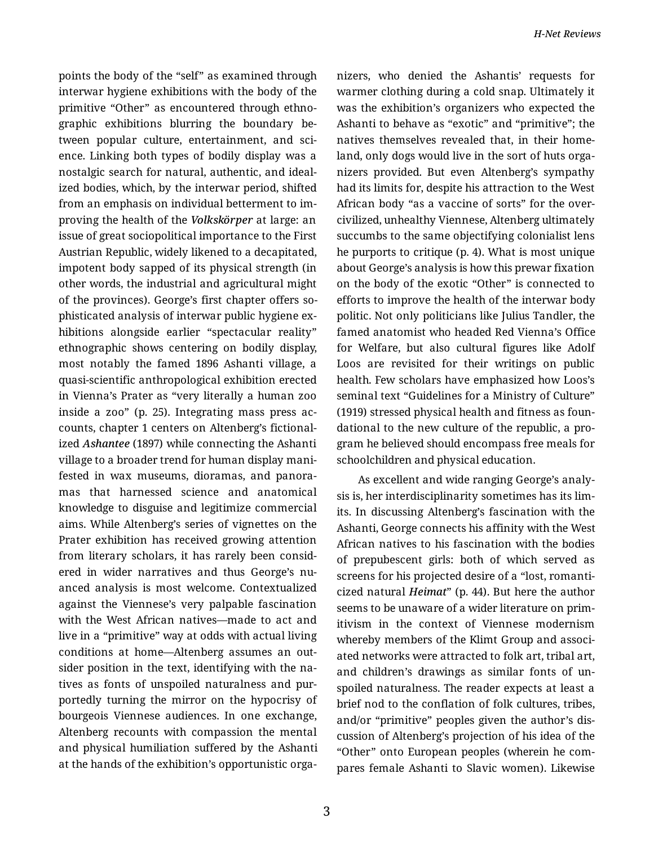points the body of the "self" as examined through interwar hygiene exhibitions with the body of the primitive "Other" as encountered through ethno‐ graphic exhibitions blurring the boundary be‐ tween popular culture, entertainment, and science. Linking both types of bodily display was a nostalgic search for natural, authentic, and ideal‐ ized bodies, which, by the interwar period, shifted from an emphasis on individual betterment to im‐ proving the health of the *Volkskörper* at large: an issue of great sociopolitical importance to the First Austrian Republic, widely likened to a decapitated, impotent body sapped of its physical strength (in other words, the industrial and agricultural might of the provinces). George's first chapter offers so‐ phisticated analysis of interwar public hygiene ex‐ hibitions alongside earlier "spectacular reality" ethnographic shows centering on bodily display, most notably the famed 1896 Ashanti village, a quasi-scientific anthropological exhibition erected in Vienna's Prater as "very literally a human zoo inside a zoo" (p. 25). Integrating mass press ac‐ counts, chapter 1 centers on Altenberg's fictional‐ ized *Ashantee* (1897) while connecting the Ashanti village to a broader trend for human display mani‐ fested in wax museums, dioramas, and panora‐ mas that harnessed science and anatomical knowledge to disguise and legitimize commercial aims. While Altenberg's series of vignettes on the Prater exhibition has received growing attention from literary scholars, it has rarely been consid‐ ered in wider narratives and thus George's nu‐ anced analysis is most welcome. Contextualized against the Viennese's very palpable fascination with the West African natives—made to act and live in a "primitive" way at odds with actual living conditions at home—Altenberg assumes an out‐ sider position in the text, identifying with the na‐ tives as fonts of unspoiled naturalness and pur‐ portedly turning the mirror on the hypocrisy of bourgeois Viennese audiences. In one exchange, Altenberg recounts with compassion the mental and physical humiliation suffered by the Ashanti at the hands of the exhibition's opportunistic orga‐

nizers, who denied the Ashantis' requests for warmer clothing during a cold snap. Ultimately it was the exhibition's organizers who expected the Ashanti to behave as "exotic" and "primitive"; the natives themselves revealed that, in their home‐ land, only dogs would live in the sort of huts orga‐ nizers provided. But even Altenberg's sympathy had its limits for, despite his attraction to the West African body "as a vaccine of sorts" for the overcivilized, unhealthy Viennese, Altenberg ultimately succumbs to the same objectifying colonialist lens he purports to critique (p. 4). What is most unique about George's analysis is how this prewar fixation on the body of the exotic "Other" is connected to efforts to improve the health of the interwar body politic. Not only politicians like Julius Tandler, the famed anatomist who headed Red Vienna's Office for Welfare, but also cultural figures like Adolf Loos are revisited for their writings on public health. Few scholars have emphasized how Loos's seminal text "Guidelines for a Ministry of Culture" (1919) stressed physical health and fitness as foun‐ dational to the new culture of the republic, a pro‐ gram he believed should encompass free meals for schoolchildren and physical education.

As excellent and wide ranging George's analy‐ sis is, her interdisciplinarity sometimes has its lim‐ its. In discussing Altenberg's fascination with the Ashanti, George connects his affinity with the West African natives to his fascination with the bodies of prepubescent girls: both of which served as screens for his projected desire of a "lost, romanti‐ cized natural *Heimat*" (p. 44). But here the author seems to be unaware of a wider literature on prim‐ itivism in the context of Viennese modernism whereby members of the Klimt Group and associated networks were attracted to folk art, tribal art, and children's drawings as similar fonts of un‐ spoiled naturalness. The reader expects at least a brief nod to the conflation of folk cultures, tribes, and/or "primitive" peoples given the author's dis‐ cussion of Altenberg's projection of his idea of the "Other" onto European peoples (wherein he com‐ pares female Ashanti to Slavic women). Likewise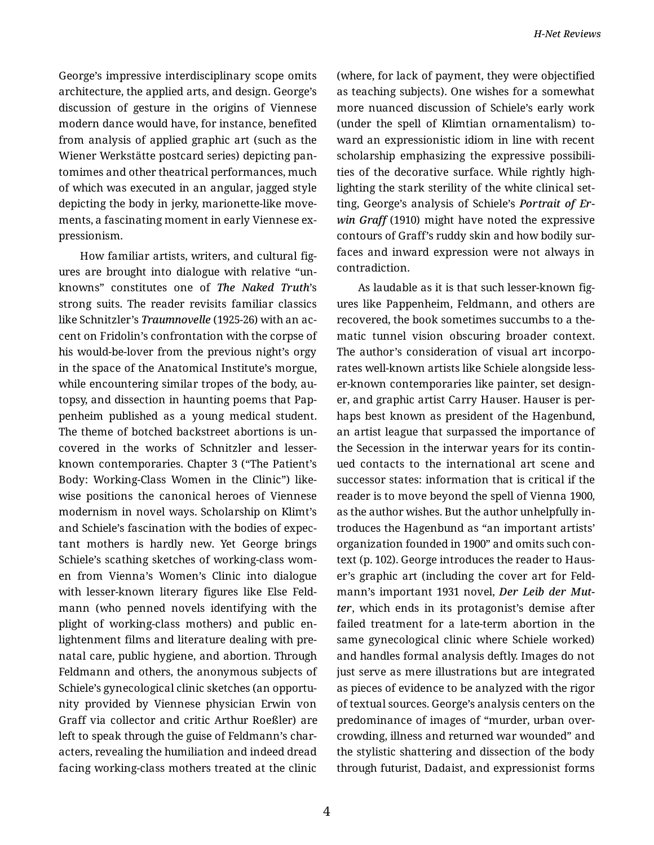George's impressive interdisciplinary scope omits architecture, the applied arts, and design. George's discussion of gesture in the origins of Viennese modern dance would have, for instance, benefited from analysis of applied graphic art (such as the Wiener Werkstätte postcard series) depicting pan‐ tomimes and other theatrical performances, much of which was executed in an angular, jagged style depicting the body in jerky, marionette-like move‐ ments, a fascinating moment in early Viennese ex‐ pressionism.

How familiar artists, writers, and cultural fig‐ ures are brought into dialogue with relative "un‐ knowns" constitutes one of *The Naked Truth*'s strong suits. The reader revisits familiar classics like Schnitzler's *Traumnovelle* (1925-26) with an ac‐ cent on Fridolin's confrontation with the corpse of his would-be-lover from the previous night's orgy in the space of the Anatomical Institute's morgue, while encountering similar tropes of the body, autopsy, and dissection in haunting poems that Pap‐ penheim published as a young medical student. The theme of botched backstreet abortions is un‐ covered in the works of Schnitzler and lesserknown contemporaries. Chapter 3 ("The Patient's Body: Working-Class Women in the Clinic") like‐ wise positions the canonical heroes of Viennese modernism in novel ways. Scholarship on Klimt's and Schiele's fascination with the bodies of expec‐ tant mothers is hardly new. Yet George brings Schiele's scathing sketches of working-class wom‐ en from Vienna's Women's Clinic into dialogue with lesser-known literary figures like Else Feld‐ mann (who penned novels identifying with the plight of working-class mothers) and public en‐ lightenment films and literature dealing with pre‐ natal care, public hygiene, and abortion. Through Feldmann and others, the anonymous subjects of Schiele's gynecological clinic sketches (an opportu‐ nity provided by Viennese physician Erwin von Graff via collector and critic Arthur Roeßler) are left to speak through the guise of Feldmann's characters, revealing the humiliation and indeed dread facing working-class mothers treated at the clinic

(where, for lack of payment, they were objectified as teaching subjects). One wishes for a somewhat more nuanced discussion of Schiele's early work (under the spell of Klimtian ornamentalism) to‐ ward an expressionistic idiom in line with recent scholarship emphasizing the expressive possibili‐ ties of the decorative surface. While rightly high‐ lighting the stark sterility of the white clinical set‐ ting, George's analysis of Schiele's *Portrait of Er‐ win Graff* (1910) might have noted the expressive contours of Graff's ruddy skin and how bodily sur‐ faces and inward expression were not always in contradiction.

As laudable as it is that such lesser-known fig‐ ures like Pappenheim, Feldmann, and others are recovered, the book sometimes succumbs to a the‐ matic tunnel vision obscuring broader context. The author's consideration of visual art incorpo‐ rates well-known artists like Schiele alongside less‐ er-known contemporaries like painter, set design‐ er, and graphic artist Carry Hauser. Hauser is per‐ haps best known as president of the Hagenbund, an artist league that surpassed the importance of the Secession in the interwar years for its contin‐ ued contacts to the international art scene and successor states: information that is critical if the reader is to move beyond the spell of Vienna 1900, as the author wishes. But the author unhelpfully in‐ troduces the Hagenbund as "an important artists' organization founded in 1900" and omits such con‐ text (p. 102). George introduces the reader to Haus‐ er's graphic art (including the cover art for Feld‐ mann's important 1931 novel, *Der Leib der Mut‐ ter*, which ends in its protagonist's demise after failed treatment for a late-term abortion in the same gynecological clinic where Schiele worked) and handles formal analysis deftly. Images do not just serve as mere illustrations but are integrated as pieces of evidence to be analyzed with the rigor of textual sources. George's analysis centers on the predominance of images of "murder, urban over‐ crowding, illness and returned war wounded" and the stylistic shattering and dissection of the body through futurist, Dadaist, and expressionist forms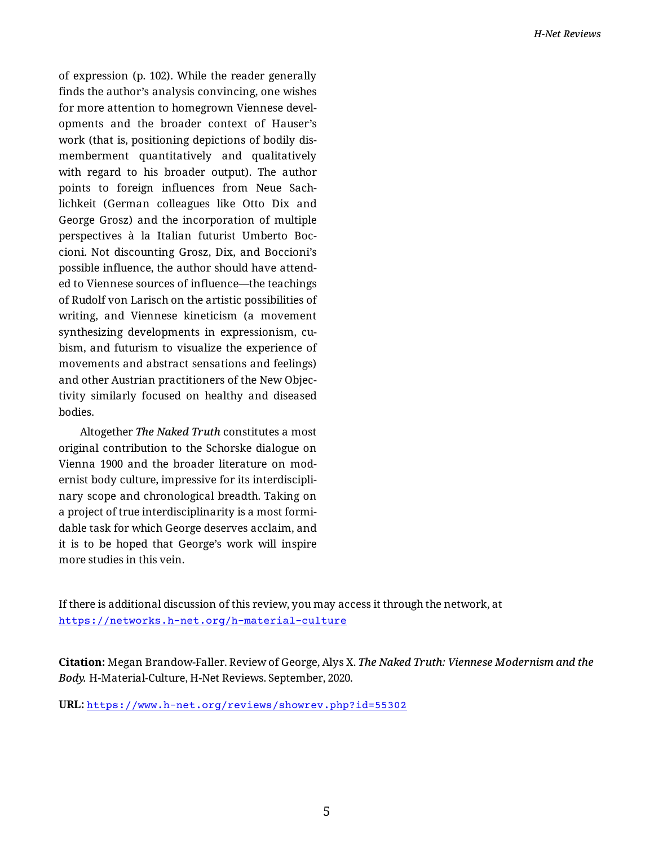of expression (p. 102). While the reader generally finds the author's analysis convincing, one wishes for more attention to homegrown Viennese developments and the broader context of Hauser's work (that is, positioning depictions of bodily dis‐ memberment quantitatively and qualitatively with regard to his broader output). The author points to foreign influences from Neue Sach‐ lichkeit (German colleagues like Otto Dix and George Grosz) and the incorporation of multiple perspectives à la Italian futurist Umberto Boc‐ cioni. Not discounting Grosz, Dix, and Boccioni's possible influence, the author should have attend‐ ed to Viennese sources of influence—the teachings of Rudolf von Larisch on the artistic possibilities of writing, and Viennese kineticism (a movement synthesizing developments in expressionism, cubism, and futurism to visualize the experience of movements and abstract sensations and feelings) and other Austrian practitioners of the New Objec‐ tivity similarly focused on healthy and diseased bodies.

Altogether *The Naked Truth* constitutes a most original contribution to the Schorske dialogue on Vienna 1900 and the broader literature on mod‐ ernist body culture, impressive for its interdiscipli‐ nary scope and chronological breadth. Taking on a project of true interdisciplinarity is a most formi‐ dable task for which George deserves acclaim, and it is to be hoped that George's work will inspire more studies in this vein.

If there is additional discussion of this review, you may access it through the network, at <https://networks.h-net.org/h-material-culture>

**Citation:** Megan Brandow-Faller. Review of George, Alys X. *The Naked Truth: Viennese Modernism and the Body.* H-Material-Culture, H-Net Reviews. September, 2020.

**URL:** <https://www.h-net.org/reviews/showrev.php?id=55302>